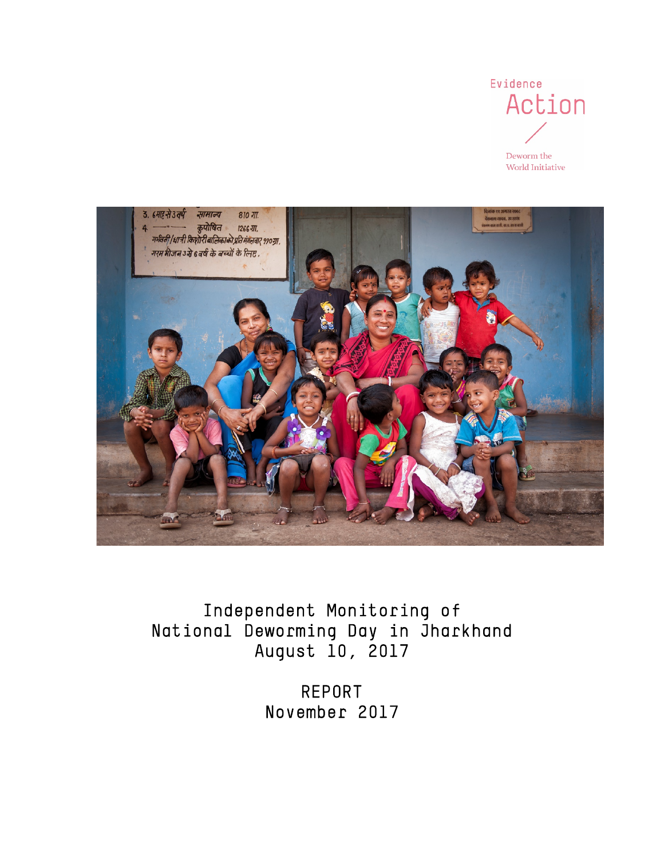



Independent Monitoring of National Deworming Day in Jharkhand August 10, 2017

> REPORT November 2017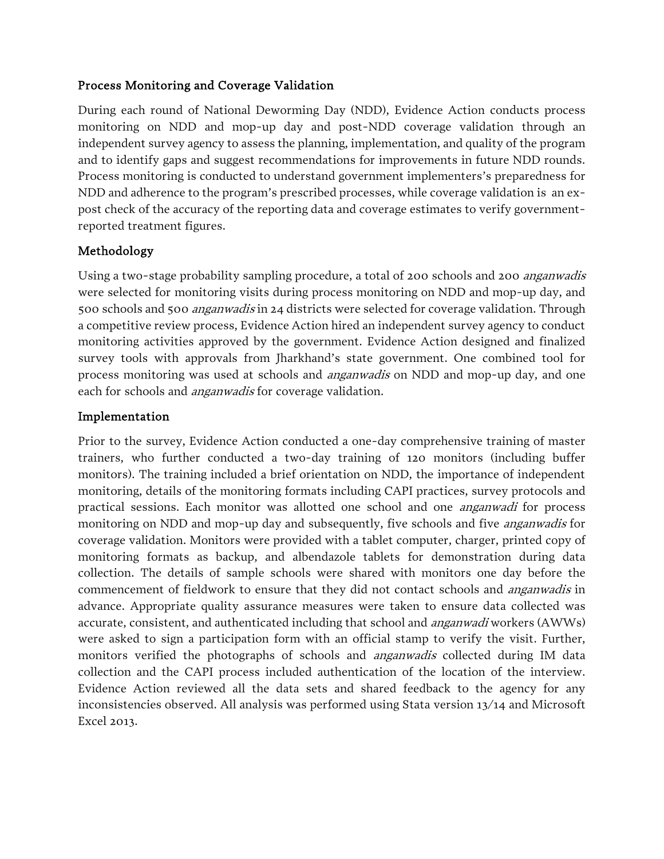#### Process Monitoring and Coverage Validation

During each round of National Deworming Day (NDD), Evidence Action conducts process monitoring on NDD and mop-up day and post-NDD coverage validation through an independent survey agency to assess the planning, implementation, and quality of the program and to identify gaps and suggest recommendations for improvements in future NDD rounds. Process monitoring is conducted to understand government implementers's preparedness for NDD and adherence to the program's prescribed processes, while coverage validation is an expost check of the accuracy of the reporting data and coverage estimates to verify governmentreported treatment figures.

## Methodology

Using a two-stage probability sampling procedure, a total of 200 schools and 200 *anganwadis* were selected for monitoring visits during process monitoring on NDD and mop-up day, and 500 schools and 500 *anganwadis* in 24 districts were selected for coverage validation. Through a competitive review process, Evidence Action hired an independent survey agency to conduct monitoring activities approved by the government. Evidence Action designed and finalized survey tools with approvals from Jharkhand's state government. One combined tool for process monitoring was used at schools and anganwadis on NDD and mop-up day, and one each for schools and *anganwadis* for coverage validation.

### Implementation

Prior to the survey, Evidence Action conducted a one-day comprehensive training of master trainers, who further conducted a two-day training of 120 monitors (including buffer monitors). The training included a brief orientation on NDD, the importance of independent monitoring, details of the monitoring formats including CAPI practices, survey protocols and practical sessions. Each monitor was allotted one school and one anganwadi for process monitoring on NDD and mop-up day and subsequently, five schools and five *anganwadis* for coverage validation. Monitors were provided with a tablet computer, charger, printed copy of monitoring formats as backup, and albendazole tablets for demonstration during data collection. The details of sample schools were shared with monitors one day before the commencement of fieldwork to ensure that they did not contact schools and *anganwadis* in advance. Appropriate quality assurance measures were taken to ensure data collected was accurate, consistent, and authenticated including that school and *anganwadi* workers (AWWs) were asked to sign a participation form with an official stamp to verify the visit. Further, monitors verified the photographs of schools and *anganwadis* collected during IM data collection and the CAPI process included authentication of the location of the interview. Evidence Action reviewed all the data sets and shared feedback to the agency for any inconsistencies observed. All analysis was performed using Stata version 13/14 and Microsoft Excel 2013.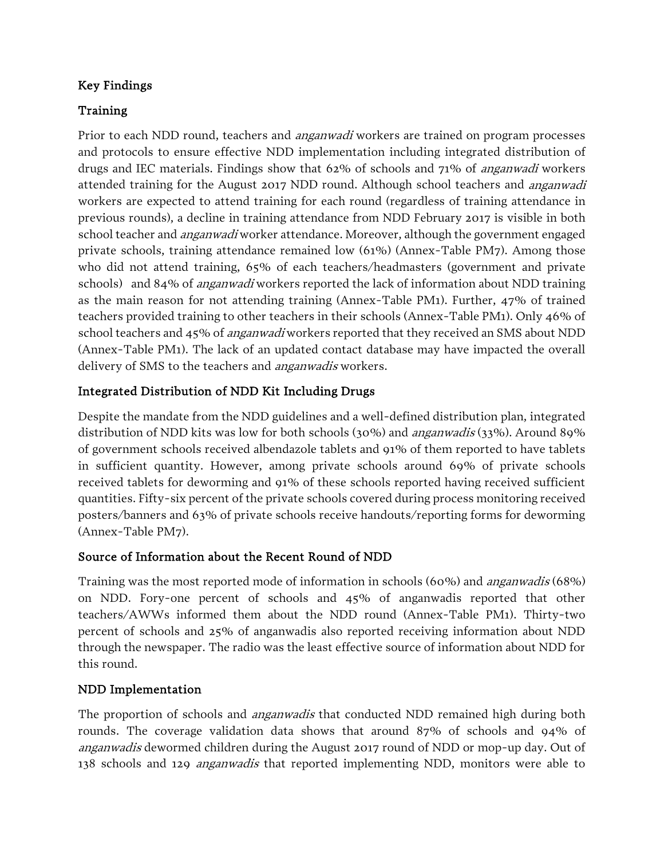# Key Findings

# Training

Prior to each NDD round, teachers and *anganwadi* workers are trained on program processes and protocols to ensure effective NDD implementation including integrated distribution of drugs and IEC materials. Findings show that 62% of schools and 71% of anganwadi workers attended training for the August 2017 NDD round. Although school teachers and anganwadi workers are expected to attend training for each round (regardless of training attendance in previous rounds), a decline in training attendance from NDD February 2017 is visible in both school teacher and *anganwadi* worker attendance. Moreover, although the government engaged private schools, training attendance remained low (61%) (Annex-Table PM7). Among those who did not attend training, 65% of each teachers/headmasters (government and private schools) and 84% of *anganwadi* workers reported the lack of information about NDD training as the main reason for not attending training (Annex-Table PM1). Further, 47% of trained teachers provided training to other teachers in their schools (Annex-Table PM1). Only 46% of school teachers and 45% of *anganwadi* workers reported that they received an SMS about NDD (Annex-Table PM1). The lack of an updated contact database may have impacted the overall delivery of SMS to the teachers and *anganwadis* workers.

# Integrated Distribution of NDD Kit Including Drugs

Despite the mandate from the NDD guidelines and a well-defined distribution plan, integrated distribution of NDD kits was low for both schools (30%) and *anganwadis* (33%). Around 89% of government schools received albendazole tablets and 91% of them reported to have tablets in sufficient quantity. However, among private schools around 69% of private schools received tablets for deworming and 91% of these schools reported having received sufficient quantities. Fifty-six percent of the private schools covered during process monitoring received posters/banners and 63% of private schools receive handouts/reporting forms for deworming (Annex-Table PM7).

### Source of Information about the Recent Round of NDD

Training was the most reported mode of information in schools (60%) and anganwadis (68%) on NDD. Fory-one percent of schools and 45% of anganwadis reported that other teachers/AWWs informed them about the NDD round (Annex-Table PM1). Thirty-two percent of schools and 25% of anganwadis also reported receiving information about NDD through the newspaper. The radio was the least effective source of information about NDD for this round.

### NDD Implementation

The proportion of schools and *anganwadis* that conducted NDD remained high during both rounds. The coverage validation data shows that around 87% of schools and 94% of anganwadis dewormed children during the August 2017 round of NDD or mop-up day. Out of 138 schools and 129 *anganwadis* that reported implementing NDD, monitors were able to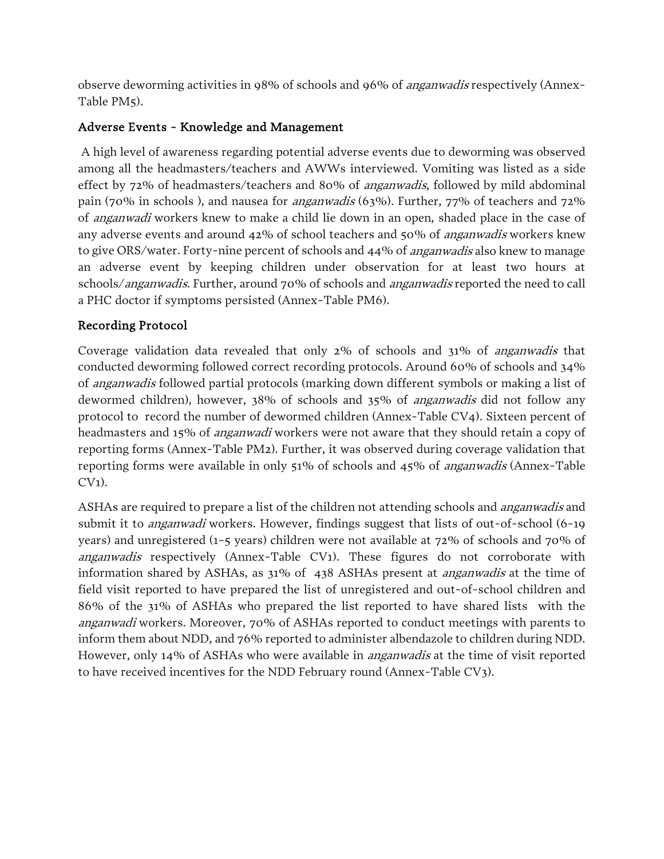observe deworming activities in 98% of schools and 96% of anganwadis respectively (Annex-Table PM5).

# Adverse Events - Knowledge and Management

A high level of awareness regarding potential adverse events due to deworming was observed among all the headmasters/teachers and AWWs interviewed. Vomiting was listed as a side effect by 72% of headmasters/teachers and 80% of *anganwadis*, followed by mild abdominal pain (70% in schools ), and nausea for anganwadis (63%). Further, 77% of teachers and 72% of anganwadi workers knew to make a child lie down in an open, shaded place in the case of any adverse events and around 42% of school teachers and 50% of anganwadis workers knew to give ORS/water. Forty-nine percent of schools and 44% of *anganwadis* also knew to manage an adverse event by keeping children under observation for at least two hours at schools/anganwadis. Further, around 70% of schools and anganwadis reported the need to call a PHC doctor if symptoms persisted (Annex-Table PM6).

# Recording Protocol

Coverage validation data revealed that only 2% of schools and 31% of anganwadis that conducted deworming followed correct recording protocols. Around 60% of schools and 34% of anganwadis followed partial protocols (marking down different symbols or making a list of dewormed children), however, 38% of schools and 35% of anganwadis did not follow any protocol to record the number of dewormed children (Annex-Table CV4). Sixteen percent of headmasters and 15% of *anganwadi* workers were not aware that they should retain a copy of reporting forms (Annex-Table PM2). Further, it was observed during coverage validation that reporting forms were available in only 51% of schools and 45% of anganwadis (Annex-Table CV1).

ASHAs are required to prepare a list of the children not attending schools and *anganwadis* and submit it to *anganwadi* workers. However, findings suggest that lists of out-of-school (6-19) years) and unregistered (1-5 years) children were not available at 72% of schools and 70% of anganwadis respectively (Annex-Table CV1). These figures do not corroborate with information shared by ASHAs, as 31% of 438 ASHAs present at *anganwadis* at the time of field visit reported to have prepared the list of unregistered and out-of-school children and 86% of the 31% of ASHAs who prepared the list reported to have shared lists with the anganwadi workers. Moreover, 70% of ASHAs reported to conduct meetings with parents to inform them about NDD, and 76% reported to administer albendazole to children during NDD. However, only 14% of ASHAs who were available in *anganwadis* at the time of visit reported to have received incentives for the NDD February round (Annex-Table CV3).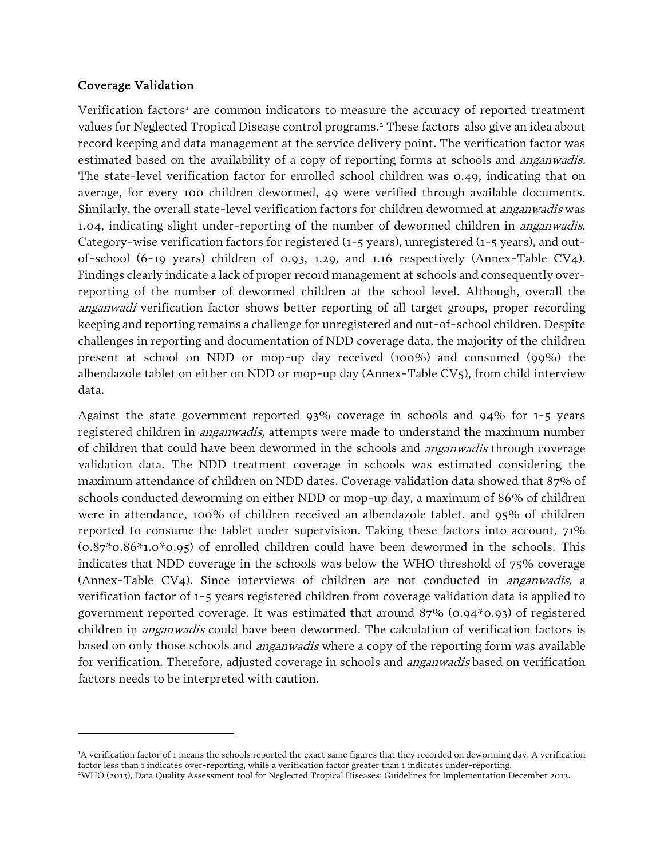#### Coverage Validation

 $\overline{\phantom{a}}$ 

Verification factors<sup>[1](#page-4-0)</sup> are common indicators to measure the accuracy of reported treatment values for Neglected Tropical Disease control programs.[2](#page-4-1) These factors also give an idea about record keeping and data management at the service delivery point. The verification factor was estimated based on the availability of a copy of reporting forms at schools and *anganwadis*. The state-level verification factor for enrolled school children was 0.49, indicating that on average, for every 100 children dewormed, 49 were verified through available documents. Similarly, the overall state-level verification factors for children dewormed at *anganwadis* was 1.04, indicating slight under-reporting of the number of dewormed children in *anganwadis*. Category-wise verification factors for registered (1-5 years), unregistered (1-5 years), and outof-school (6-19 years) children of 0.93, 1.29, and 1.16 respectively (Annex-Table CV4). Findings clearly indicate a lack of proper record management at schools and consequently overreporting of the number of dewormed children at the school level. Although, overall the anganwadi verification factor shows better reporting of all target groups, proper recording keeping and reporting remains a challenge for unregistered and out-of-school children. Despite challenges in reporting and documentation of NDD coverage data, the majority of the children present at school on NDD or mop-up day received (100%) and consumed (99%) the albendazole tablet on either on NDD or mop-up day (Annex-Table CV5), from child interview data.

Against the state government reported 93% coverage in schools and 94% for 1-5 years registered children in *anganwadis*, attempts were made to understand the maximum number of children that could have been dewormed in the schools and *anganwadis* through coverage validation data. The NDD treatment coverage in schools was estimated considering the maximum attendance of children on NDD dates. Coverage validation data showed that 87% of schools conducted deworming on either NDD or mop-up day, a maximum of 86% of children were in attendance, 100% of children received an albendazole tablet, and 95% of children reported to consume the tablet under supervision. Taking these factors into account, 71%  $(0.87*0.86*1.0*0.95)$  of enrolled children could have been dewormed in the schools. This indicates that NDD coverage in the schools was below the WHO threshold of 75% coverage (Annex-Table CV4). Since interviews of children are not conducted in anganwadis, a verification factor of 1-5 years registered children from coverage validation data is applied to government reported coverage. It was estimated that around 87% (0.94\*0.93) of registered children in *anganwadis* could have been dewormed. The calculation of verification factors is based on only those schools and *anganwadis* where a copy of the reporting form was available for verification. Therefore, adjusted coverage in schools and *anganwadis* based on verification factors needs to be interpreted with caution.

<span id="page-4-1"></span><span id="page-4-0"></span><sup>1</sup> A verification factor of 1 means the schools reported the exact same figures that they recorded on deworming day. A verification factor less than 1 indicates over-reporting, while a verification factor greater than 1 indicates under-reporting. 2 WHO (2013), Data Quality Assessment tool for Neglected Tropical Diseases: Guidelines for Implementation December 2013.